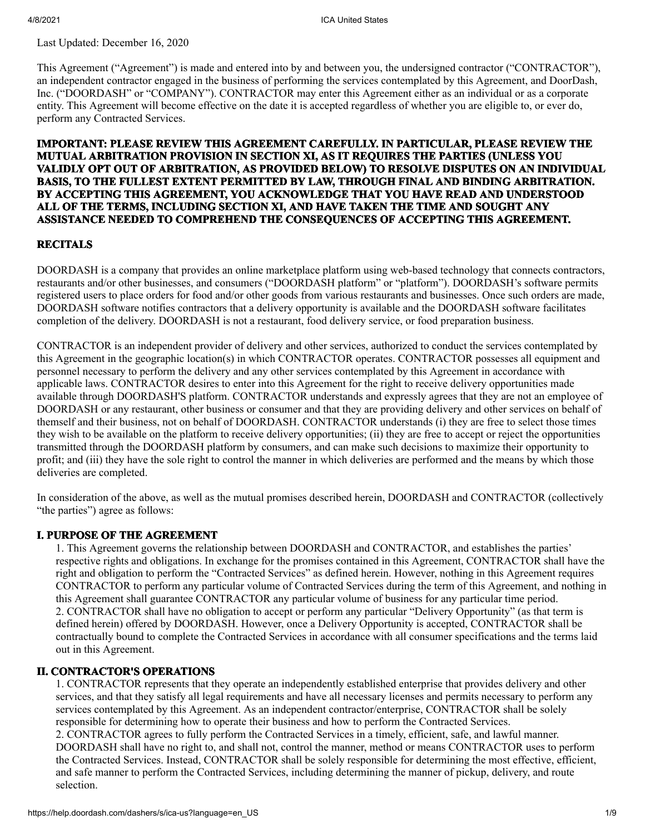Last Updated: December 16, 2020

This Agreement ("Agreement") is made and entered into by and between you, the undersigned contractor ("CONTRACTOR"), an independent contractor engaged in the business of performing the services contemplated by this Agreement, and DoorDash, Inc. ("DOORDASH" or "COMPANY"). CONTRACTOR may enter this Agreement either as an individual or as a corporate entity. This Agreement will become effective on the date it is accepted regardless of whether you are eligible to, or ever do, perform any Contracted Services.

## **IMPORTANT: PLEASE REVIEW THIS AGREEMENT CAREFULLY. IN PARTICULAR, PLEASE REVIEW THE MUTUAL ARBITRATION PROVISION IN SECTION XI, AS IT REQUIRES THE PARTIES (UNLESS YOU VALIDLY OPT OUT OF ARBITRATION, AS PROVIDED BELOW) TO RESOLVE DISPUTES ON AN INDIVIDUAL BASIS, TO THE FULLEST EXTENT PERMITTED BY LAW, THROUGH FINAL AND BINDING ARBITRATION. BY ACCEPTING THIS AGREEMENT, YOU ACKNOWLEDGE THAT YOU HAVE READ AND UNDERSTOOD ALL OF THE TERMS, INCLUDING SECTION XI, AND HAVE TAKEN THE TIME AND SOUGHT ANY ASSISTANCE NEEDED TO COMPREHEND THE CONSEQUENCES OF ACCEPTING THIS AGREEMENT.**

#### **RECITALS**

DOORDASH is a company that provides an online marketplace platform using web-based technology that connects contractors, restaurants and/or other businesses, and consumers ("DOORDASH platform" or "platform"). DOORDASH's software permits registered users to place orders for food and/or other goods from various restaurants and businesses. Once such orders are made, DOORDASH software notifies contractors that a delivery opportunity is available and the DOORDASH software facilitates completion of the delivery. DOORDASH is not a restaurant, food delivery service, or food preparation business.

CONTRACTOR is an independent provider of delivery and other services, authorized to conduct the services contemplated by this Agreement in the geographic location(s) in which CONTRACTOR operates. CONTRACTOR possesses all equipment and personnel necessary to perform the delivery and any other services contemplated by this Agreement in accordance with applicable laws. CONTRACTOR desires to enter into this Agreement for the right to receive delivery opportunities made available through DOORDASH'S platform. CONTRACTOR understands and expressly agrees that they are not an employee of DOORDASH or any restaurant, other business or consumer and that they are providing delivery and other services on behalf of themself and their business, not on behalf of DOORDASH. CONTRACTOR understands (i) they are free to select those times they wish to be available on the platform to receive delivery opportunities; (ii) they are free to accept or reject the opportunities transmitted through the DOORDASH platform by consumers, and can make such decisions to maximize their opportunity to profit; and (iii) they have the sole right to control the manner in which deliveries are performed and the means by which those deliveries are completed.

In consideration of the above, as well as the mutual promises described herein, DOORDASH and CONTRACTOR (collectively "the parties") agree as follows:

## **I. PURPOSE OF THE AGREEMENT**

1. This Agreement governs the relationship between DOORDASH and CONTRACTOR, and establishes the parties' respective rights and obligations. In exchange for the promises contained in this Agreement, CONTRACTOR shall have the right and obligation to perform the "Contracted Services" as defined herein. However, nothing in this Agreement requires CONTRACTOR to perform any particular volume of Contracted Services during the term of this Agreement, and nothing in this Agreement shall guarantee CONTRACTOR any particular volume of business for any particular time period. 2. CONTRACTOR shall have no obligation to accept or perform any particular "Delivery Opportunity" (as that term is defined herein) offered by DOORDASH. However, once a Delivery Opportunity is accepted, CONTRACTOR shall be contractually bound to complete the Contracted Services in accordance with all consumer specifications and the terms laid out in this Agreement.

#### **II. CONTRACTOR'S OPERATIONS**

1. CONTRACTOR represents that they operate an independently established enterprise that provides delivery and other services, and that they satisfy all legal requirements and have all necessary licenses and permits necessary to perform any services contemplated by this Agreement. As an independent contractor/enterprise, CONTRACTOR shall be solely responsible for determining how to operate their business and how to perform the Contracted Services. 2. CONTRACTOR agrees to fully perform the Contracted Services in a timely, efficient, safe, and lawful manner. DOORDASH shall have no right to, and shall not, control the manner, method or means CONTRACTOR uses to perform the Contracted Services. Instead, CONTRACTOR shall be solely responsible for determining the most effective, efficient, and safe manner to perform the Contracted Services, including determining the manner of pickup, delivery, and route selection.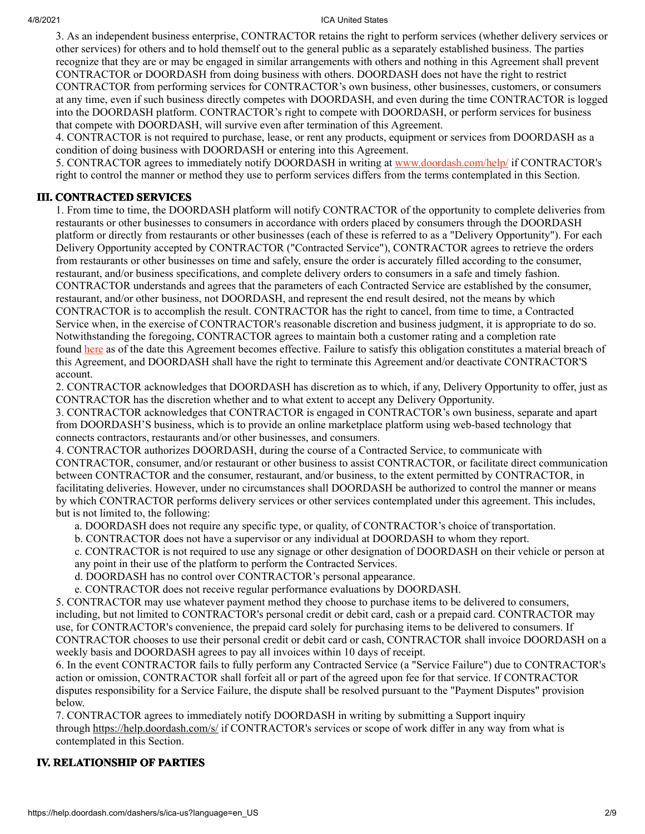3. As an independent business enterprise, CONTRACTOR retains the right to perform services (whether delivery services or other services) for others and to hold themself out to the general public as a separately established business. The parties recognize that they are or may be engaged in similar arrangements with others and nothing in this Agreement shall prevent CONTRACTOR or DOORDASH from doing business with others. DOORDASH does not have the right to restrict CONTRACTOR from performing services for CONTRACTOR's own business, other businesses, customers, or consumers at any time, even if such business directly competes with DOORDASH, and even during the time CONTRACTOR is logged into the DOORDASH platform. CONTRACTOR's right to compete with DOORDASH, or perform services for business that compete with DOORDASH, will survive even after termination of this Agreement.

4. CONTRACTOR is not required to purchase, lease, or rent any products, equipment or services from DOORDASH as a condition of doing business with DOORDASH or entering into this Agreement.

5. CONTRACTOR agrees to immediately notify DOORDASH in writing at [www.doordash.com/help/](http://www.doordash.com/help/) if CONTRACTOR's right to control the manner or method they use to perform services differs from the terms contemplated in this Section.

# **III. CONTRACTED SERVICES**

1. From time to time, the DOORDASH platform will notify CONTRACTOR of the opportunity to complete deliveries from restaurants or other businesses to consumers in accordance with orders placed by consumers through the DOORDASH platform or directly from restaurants or other businesses (each of these is referred to as a "Delivery Opportunity"). For each Delivery Opportunity accepted by CONTRACTOR ("Contracted Service"), CONTRACTOR agrees to retrieve the orders from restaurants or other businesses on time and safely, ensure the order is accurately filled according to the consumer, restaurant, and/or business specifications, and complete delivery orders to consumers in a safe and timely fashion. CONTRACTOR understands and agrees that the parameters of each Contracted Service are established by the consumer, restaurant, and/or other business, not DOORDASH, and represent the end result desired, not the means by which CONTRACTOR is to accomplish the result. CONTRACTOR has the right to cancel, from time to time, a Contracted Service when, in the exercise of CONTRACTOR's reasonable discretion and business judgment, it is appropriate to do so. Notwithstanding the foregoing, CONTRACTOR agrees to maintain both a customer rating and a completion rate found [here](https://help.doordash.com/dashers/s/article/Dasher-Ratings-Explained?language=en_US) as of the date this Agreement becomes effective. Failure to satisfy this obligation constitutes a material breach of this Agreement, and DOORDASH shall have the right to terminate this Agreement and/or deactivate CONTRACTOR'S account.

2. CONTRACTOR acknowledges that DOORDASH has discretion as to which, if any, Delivery Opportunity to offer, just as CONTRACTOR has the discretion whether and to what extent to accept any Delivery Opportunity.

3. CONTRACTOR acknowledges that CONTRACTOR is engaged in CONTRACTOR's own business, separate and apart from DOORDASH'S business, which is to provide an online marketplace platform using web-based technology that connects contractors, restaurants and/or other businesses, and consumers.

4. CONTRACTOR authorizes DOORDASH, during the course of a Contracted Service, to communicate with CONTRACTOR, consumer, and/or restaurant or other business to assist CONTRACTOR, or facilitate direct communication between CONTRACTOR and the consumer, restaurant, and/or business, to the extent permitted by CONTRACTOR, in facilitating deliveries. However, under no circumstances shall DOORDASH be authorized to control the manner or means by which CONTRACTOR performs delivery services or other services contemplated under this agreement. This includes, but is not limited to, the following:

a. DOORDASH does not require any specific type, or quality, of CONTRACTOR's choice of transportation.

b. CONTRACTOR does not have a supervisor or any individual at DOORDASH to whom they report.

c. CONTRACTOR is not required to use any signage or other designation of DOORDASH on their vehicle or person at any point in their use of the platform to perform the Contracted Services.

d. DOORDASH has no control over CONTRACTOR's personal appearance.

e. CONTRACTOR does not receive regular performance evaluations by DOORDASH.

5. CONTRACTOR may use whatever payment method they choose to purchase items to be delivered to consumers, including, but not limited to CONTRACTOR's personal credit or debit card, cash or a prepaid card. CONTRACTOR may use, for CONTRACTOR's convenience, the prepaid card solely for purchasing items to be delivered to consumers. If CONTRACTOR chooses to use their personal credit or debit card or cash, CONTRACTOR shall invoice DOORDASH on a weekly basis and DOORDASH agrees to pay all invoices within 10 days of receipt.

6. In the event CONTRACTOR fails to fully perform any Contracted Service (a "Service Failure") due to CONTRACTOR's action or omission, CONTRACTOR shall forfeit all or part of the agreed upon fee for that service. If CONTRACTOR disputes responsibility for a Service Failure, the dispute shall be resolved pursuant to the "Payment Disputes" provision below.

7. CONTRACTOR agrees to immediately notify DOORDASH in writing by submitting a Support inquiry through <https://help.doordash.com/s/> if CONTRACTOR's services or scope of work differ in any way from what is contemplated in this Section.

## **IV. RELATIONSHIP OF PARTIES**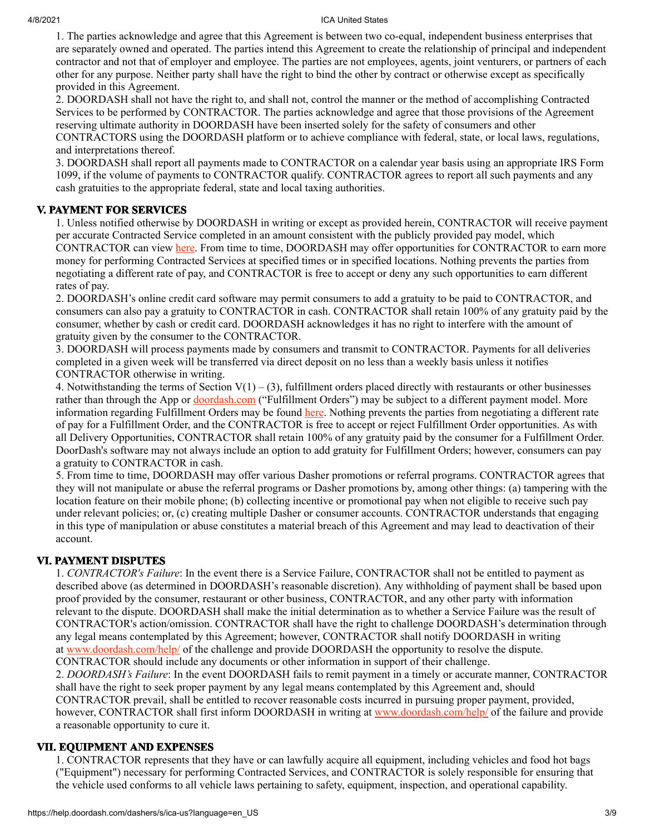1. The parties acknowledge and agree that this Agreement is between two co-equal, independent business enterprises that are separately owned and operated. The parties intend this Agreement to create the relationship of principal and independent contractor and not that of employer and employee. The parties are not employees, agents, joint venturers, or partners of each other for any purpose. Neither party shall have the right to bind the other by contract or otherwise except as specifically provided in this Agreement.

2. DOORDASH shall not have the right to, and shall not, control the manner or the method of accomplishing Contracted Services to be performed by CONTRACTOR. The parties acknowledge and agree that those provisions of the Agreement reserving ultimate authority in DOORDASH have been inserted solely for the safety of consumers and other CONTRACTORS using the DOORDASH platform or to achieve compliance with federal, state, or local laws, regulations, and interpretations thereof.

3. DOORDASH shall report all payments made to CONTRACTOR on a calendar year basis using an appropriate IRS Form 1099, if the volume of payments to CONTRACTOR qualify. CONTRACTOR agrees to report all such payments and any cash gratuities to the appropriate federal, state and local taxing authorities.

# **V. PAYMENT FOR SERVICES**

1. Unless notified otherwise by DOORDASH in writing or except as provided herein, CONTRACTOR will receive payment per accurate Contracted Service completed in an amount consistent with the publicly provided pay model, which CONTRACTOR can view [here.](https://help.doordash.com/dashers/s/article/How-is-Dasher-pay-calculated) From time to time, DOORDASH may offer opportunities for CONTRACTOR to earn more money for performing Contracted Services at specified times or in specified locations. Nothing prevents the parties from negotiating a different rate of pay, and CONTRACTOR is free to accept or deny any such opportunities to earn different rates of pay.

2. DOORDASH's online credit card software may permit consumers to add a gratuity to be paid to CONTRACTOR, and consumers can also pay a gratuity to CONTRACTOR in cash. CONTRACTOR shall retain 100% of any gratuity paid by the consumer, whether by cash or credit card. DOORDASH acknowledges it has no right to interfere with the amount of gratuity given by the consumer to the CONTRACTOR.

3. DOORDASH will process payments made by consumers and transmit to CONTRACTOR. Payments for all deliveries completed in a given week will be transferred via direct deposit on no less than a weekly basis unless it notifies CONTRACTOR otherwise in writing.

4. Notwithstanding the terms of Section  $V(1) - (3)$ , fulfillment orders placed directly with restaurants or other businesses rather than through the App or [doordash.com](http://doordash.com/) ("Fulfillment Orders") may be subject to a different payment model. More information regarding Fulfillment Orders may be found [here](https://doordash.squarespace.com/doordash-drive/). Nothing prevents the parties from negotiating a different rate of pay for a Fulfillment Order, and the CONTRACTOR is free to accept or reject Fulfillment Order opportunities. As with all Delivery Opportunities, CONTRACTOR shall retain 100% of any gratuity paid by the consumer for a Fulfillment Order. DoorDash's software may not always include an option to add gratuity for Fulfillment Orders; however, consumers can pay a gratuity to CONTRACTOR in cash.

5. From time to time, DOORDASH may offer various Dasher promotions or referral programs. CONTRACTOR agrees that they will not manipulate or abuse the referral programs or Dasher promotions by, among other things: (a) tampering with the location feature on their mobile phone; (b) collecting incentive or promotional pay when not eligible to receive such pay under relevant policies; or, (c) creating multiple Dasher or consumer accounts. CONTRACTOR understands that engaging in this type of manipulation or abuse constitutes a material breach of this Agreement and may lead to deactivation of their account.

# **VI. PAYMENT DISPUTES**

1. *CONTRACTOR's Failure*: In the event there is a Service Failure, CONTRACTOR shall not be entitled to payment as described above (as determined in DOORDASH's reasonable discretion). Any withholding of payment shall be based upon proof provided by the consumer, restaurant or other business, CONTRACTOR, and any other party with information relevant to the dispute. DOORDASH shall make the initial determination as to whether a Service Failure was the result of CONTRACTOR's action/omission. CONTRACTOR shall have the right to challenge DOORDASH's determination through any legal means contemplated by this Agreement; however, CONTRACTOR shall notify DOORDASH in writing at [www.doordash.com/help/](http://www.doordash.com/help/) of the challenge and provide DOORDASH the opportunity to resolve the dispute. CONTRACTOR should include any documents or other information in support of their challenge.

2. *DOORDASH's Failure*: In the event DOORDASH fails to remit payment in a timely or accurate manner, CONTRACTOR shall have the right to seek proper payment by any legal means contemplated by this Agreement and, should CONTRACTOR prevail, shall be entitled to recover reasonable costs incurred in pursuing proper payment, provided, however, CONTRACTOR shall first inform DOORDASH in writing at [www.doordash.com/help/](http://www.doordash.com/help/) of the failure and provide a reasonable opportunity to cure it.

## **VII. EQUIPMENT AND EXPENSES**

1. CONTRACTOR represents that they have or can lawfully acquire all equipment, including vehicles and food hot bags ("Equipment") necessary for performing Contracted Services, and CONTRACTOR is solely responsible for ensuring that the vehicle used conforms to all vehicle laws pertaining to safety, equipment, inspection, and operational capability.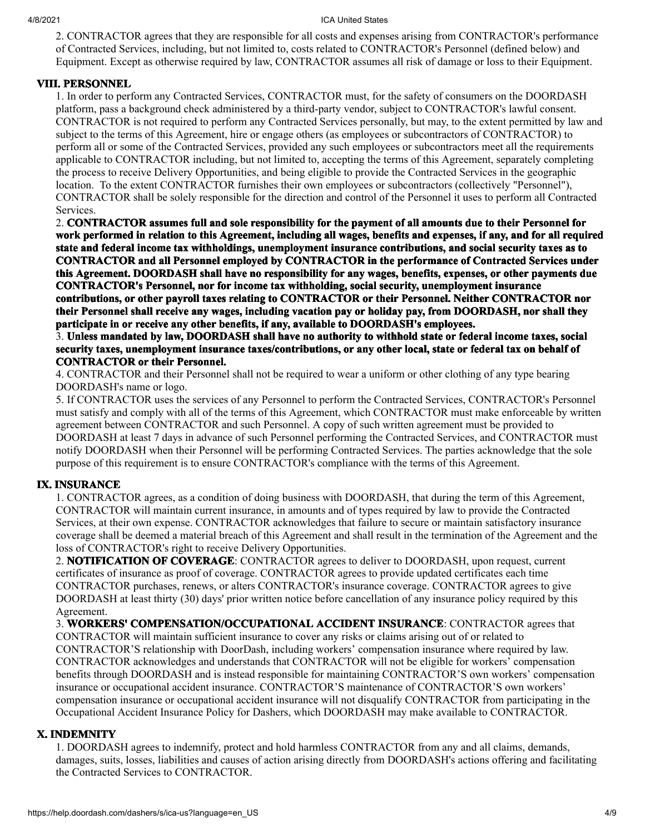2. CONTRACTOR agrees that they are responsible for all costs and expenses arising from CONTRACTOR's performance of Contracted Services, including, but not limited to, costs related to CONTRACTOR's Personnel (defined below) and Equipment. Except as otherwise required by law, CONTRACTOR assumes all risk of damage or loss to their Equipment.

## **VIII. PERSONNEL**

1. In order to perform any Contracted Services, CONTRACTOR must, for the safety of consumers on the DOORDASH platform, pass a background check administered by a third-party vendor, subject to CONTRACTOR's lawful consent. CONTRACTOR is not required to perform any Contracted Services personally, but may, to the extent permitted by law and subject to the terms of this Agreement, hire or engage others (as employees or subcontractors of CONTRACTOR) to perform all or some of the Contracted Services, provided any such employees or subcontractors meet all the requirements applicable to CONTRACTOR including, but not limited to, accepting the terms of this Agreement, separately completing the process to receive Delivery Opportunities, and being eligible to provide the Contracted Services in the geographic location. To the extent CONTRACTOR furnishes their own employees or subcontractors (collectively "Personnel"), CONTRACTOR shall be solely responsible for the direction and control of the Personnel it uses to perform all Contracted Services.

2. **CONTRACTOR assumes full and sole responsibility for the payment of all amounts due to their Personnel for work performed in relation to this Agreement, including all wages, benefits and expenses, if any, and for all required state and federal income tax withholdings, unemployment insurance contributions, and social security taxes as to CONTRACTOR and all Personnel employed by CONTRACTOR in the performance of Contracted Services under this Agreement. DOORDASH shall have no responsibility for any wages, benefits, expenses, or other payments due CONTRACTOR's Personnel, nor for income tax withholding, social security, unemployment insurance contributions, or other payroll taxes relating to CONTRACTOR or their Personnel. Neither CONTRACTOR nor their Personnel shall receive any wages, including vacation pay or holiday pay, from DOORDASH, nor shall they participate in or receive any other benefits, if any, available to DOORDASH's employees.**

3. **Unless mandated by law, DOORDASH shall have no authority to withhold state or federal income taxes, social security taxes, unemployment insurance taxes/contributions, or any other local, state or federal tax on behalf of CONTRACTOR or their Personnel.**

4. CONTRACTOR and their Personnel shall not be required to wear a uniform or other clothing of any type bearing DOORDASH's name or logo.

5. If CONTRACTOR uses the services of any Personnel to perform the Contracted Services, CONTRACTOR's Personnel must satisfy and comply with all of the terms of this Agreement, which CONTRACTOR must make enforceable by written agreement between CONTRACTOR and such Personnel. A copy of such written agreement must be provided to DOORDASH at least 7 days in advance of such Personnel performing the Contracted Services, and CONTRACTOR must notify DOORDASH when their Personnel will be performing Contracted Services. The parties acknowledge that the sole purpose of this requirement is to ensure CONTRACTOR's compliance with the terms of this Agreement.

## **IX. INSURANCE**

1. CONTRACTOR agrees, as a condition of doing business with DOORDASH, that during the term of this Agreement, CONTRACTOR will maintain current insurance, in amounts and of types required by law to provide the Contracted Services, at their own expense. CONTRACTOR acknowledges that failure to secure or maintain satisfactory insurance coverage shall be deemed a material breach of this Agreement and shall result in the termination of the Agreement and the loss of CONTRACTOR's right to receive Delivery Opportunities.

2. **NOTIFICATION OF COVERAGE**: CONTRACTOR agrees to deliver to DOORDASH, upon request, current certificates of insurance as proof of coverage. CONTRACTOR agrees to provide updated certificates each time CONTRACTOR purchases, renews, or alters CONTRACTOR's insurance coverage. CONTRACTOR agrees to give DOORDASH at least thirty (30) days' prior written notice before cancellation of any insurance policy required by this Agreement.

3. **WORKERS' COMPENSATION/OCCUPATIONAL ACCIDENT INSURANCE**: CONTRACTOR agrees that CONTRACTOR will maintain sufficient insurance to cover any risks or claims arising out of or related to CONTRACTOR'S relationship with DoorDash, including workers' compensation insurance where required by law. CONTRACTOR acknowledges and understands that CONTRACTOR will not be eligible for workers' compensation benefits through DOORDASH and is instead responsible for maintaining CONTRACTOR'S own workers' compensation insurance or occupational accident insurance. CONTRACTOR'S maintenance of CONTRACTOR'S own workers' compensation insurance or occupational accident insurance will not disqualify CONTRACTOR from participating in the Occupational Accident Insurance Policy for Dashers, which DOORDASH may make available to CONTRACTOR.

## **X. INDEMNITY**

1. DOORDASH agrees to indemnify, protect and hold harmless CONTRACTOR from any and all claims, demands, damages, suits, losses, liabilities and causes of action arising directly from DOORDASH's actions offering and facilitating the Contracted Services to CONTRACTOR.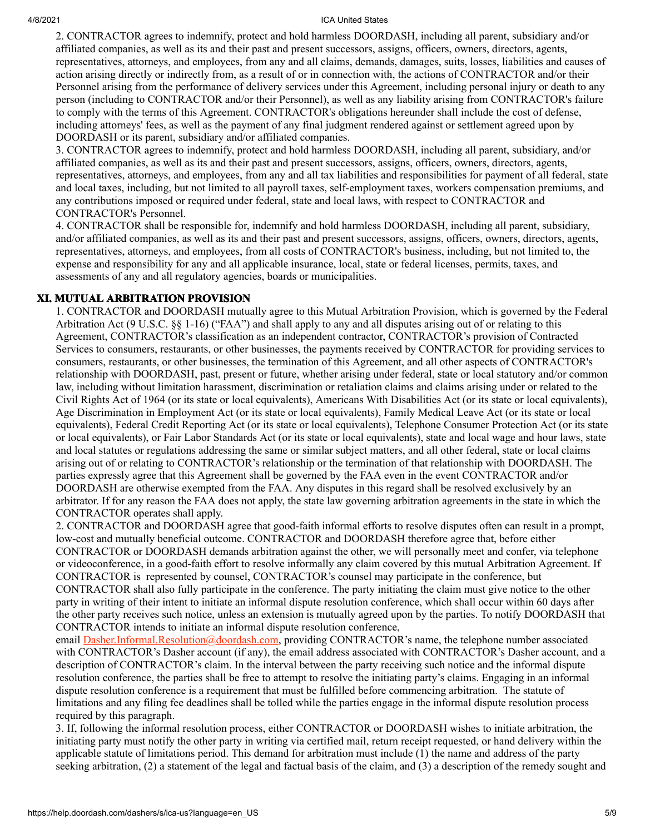2. CONTRACTOR agrees to indemnify, protect and hold harmless DOORDASH, including all parent, subsidiary and/or affiliated companies, as well as its and their past and present successors, assigns, officers, owners, directors, agents, representatives, attorneys, and employees, from any and all claims, demands, damages, suits, losses, liabilities and causes of action arising directly or indirectly from, as a result of or in connection with, the actions of CONTRACTOR and/or their Personnel arising from the performance of delivery services under this Agreement, including personal injury or death to any person (including to CONTRACTOR and/or their Personnel), as well as any liability arising from CONTRACTOR's failure to comply with the terms of this Agreement. CONTRACTOR's obligations hereunder shall include the cost of defense, including attorneys' fees, as well as the payment of any final judgment rendered against or settlement agreed upon by DOORDASH or its parent, subsidiary and/or affiliated companies.

3. CONTRACTOR agrees to indemnify, protect and hold harmless DOORDASH, including all parent, subsidiary, and/or affiliated companies, as well as its and their past and present successors, assigns, officers, owners, directors, agents, representatives, attorneys, and employees, from any and all tax liabilities and responsibilities for payment of all federal, state and local taxes, including, but not limited to all payroll taxes, self-employment taxes, workers compensation premiums, and any contributions imposed or required under federal, state and local laws, with respect to CONTRACTOR and CONTRACTOR's Personnel.

4. CONTRACTOR shall be responsible for, indemnify and hold harmless DOORDASH, including all parent, subsidiary, and/or affiliated companies, as well as its and their past and present successors, assigns, officers, owners, directors, agents, representatives, attorneys, and employees, from all costs of CONTRACTOR's business, including, but not limited to, the expense and responsibility for any and all applicable insurance, local, state or federal licenses, permits, taxes, and assessments of any and all regulatory agencies, boards or municipalities.

# **XI. MUTUAL ARBITRATION PROVISION**

1. CONTRACTOR and DOORDASH mutually agree to this Mutual Arbitration Provision, which is governed by the Federal Arbitration Act (9 U.S.C. §§ 1-16) ("FAA") and shall apply to any and all disputes arising out of or relating to this Agreement, CONTRACTOR's classification as an independent contractor, CONTRACTOR's provision of Contracted Services to consumers, restaurants, or other businesses, the payments received by CONTRACTOR for providing services to consumers, restaurants, or other businesses, the termination of this Agreement, and all other aspects of CONTRACTOR's relationship with DOORDASH, past, present or future, whether arising under federal, state or local statutory and/or common law, including without limitation harassment, discrimination or retaliation claims and claims arising under or related to the Civil Rights Act of 1964 (or its state or local equivalents), Americans With Disabilities Act (or its state or local equivalents), Age Discrimination in Employment Act (or its state or local equivalents), Family Medical Leave Act (or its state or local equivalents), Federal Credit Reporting Act (or its state or local equivalents), Telephone Consumer Protection Act (or its state or local equivalents), or Fair Labor Standards Act (or its state or local equivalents), state and local wage and hour laws, state and local statutes or regulations addressing the same or similar subject matters, and all other federal, state or local claims arising out of or relating to CONTRACTOR's relationship or the termination of that relationship with DOORDASH. The parties expressly agree that this Agreement shall be governed by the FAA even in the event CONTRACTOR and/or DOORDASH are otherwise exempted from the FAA. Any disputes in this regard shall be resolved exclusively by an arbitrator. If for any reason the FAA does not apply, the state law governing arbitration agreements in the state in which the CONTRACTOR operates shall apply.

2. CONTRACTOR and DOORDASH agree that good-faith informal efforts to resolve disputes often can result in a prompt, low-cost and mutually beneficial outcome. CONTRACTOR and DOORDASH therefore agree that, before either CONTRACTOR or DOORDASH demands arbitration against the other, we will personally meet and confer, via telephone or videoconference, in a good-faith effort to resolve informally any claim covered by this mutual Arbitration Agreement. If CONTRACTOR is represented by counsel, CONTRACTOR's counsel may participate in the conference, but CONTRACTOR shall also fully participate in the conference. The party initiating the claim must give notice to the other party in writing of their intent to initiate an informal dispute resolution conference, which shall occur within 60 days after the other party receives such notice, unless an extension is mutually agreed upon by the parties. To notify DOORDASH that CONTRACTOR intends to initiate an informal dispute resolution conference,

email **[Dasher.Informal.Resolution@doordash.com](mailto:Dasher.Informal.Resolution@doordash.com)**, providing CONTRACTOR's name, the telephone number associated with CONTRACTOR's Dasher account (if any), the email address associated with CONTRACTOR's Dasher account, and a description of CONTRACTOR's claim. In the interval between the party receiving such notice and the informal dispute resolution conference, the parties shall be free to attempt to resolve the initiating party's claims. Engaging in an informal dispute resolution conference is a requirement that must be fulfilled before commencing arbitration. The statute of limitations and any filing fee deadlines shall be tolled while the parties engage in the informal dispute resolution process required by this paragraph.

3. If, following the informal resolution process, either CONTRACTOR or DOORDASH wishes to initiate arbitration, the initiating party must notify the other party in writing via certified mail, return receipt requested, or hand delivery within the applicable statute of limitations period. This demand for arbitration must include (1) the name and address of the party seeking arbitration, (2) a statement of the legal and factual basis of the claim, and (3) a description of the remedy sought and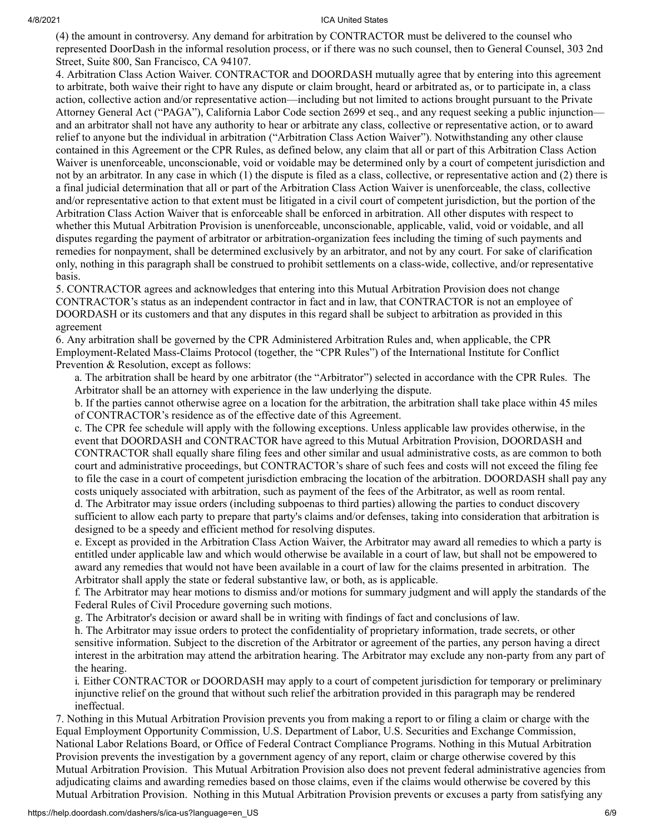(4) the amount in controversy. Any demand for arbitration by CONTRACTOR must be delivered to the counsel who represented DoorDash in the informal resolution process, or if there was no such counsel, then to General Counsel, 303 2nd Street, Suite 800, San Francisco, CA 94107.

4. Arbitration Class Action Waiver. CONTRACTOR and DOORDASH mutually agree that by entering into this agreement to arbitrate, both waive their right to have any dispute or claim brought, heard or arbitrated as, or to participate in, a class action, collective action and/or representative action—including but not limited to actions brought pursuant to the Private Attorney General Act ("PAGA"), California Labor Code section 2699 et seq., and any request seeking a public injunction and an arbitrator shall not have any authority to hear or arbitrate any class, collective or representative action, or to award relief to anyone but the individual in arbitration ("Arbitration Class Action Waiver"). Notwithstanding any other clause contained in this Agreement or the CPR Rules, as defined below, any claim that all or part of this Arbitration Class Action Waiver is unenforceable, unconscionable, void or voidable may be determined only by a court of competent jurisdiction and not by an arbitrator. In any case in which (1) the dispute is filed as a class, collective, or representative action and (2) there is a final judicial determination that all or part of the Arbitration Class Action Waiver is unenforceable, the class, collective and/or representative action to that extent must be litigated in a civil court of competent jurisdiction, but the portion of the Arbitration Class Action Waiver that is enforceable shall be enforced in arbitration. All other disputes with respect to whether this Mutual Arbitration Provision is unenforceable, unconscionable, applicable, valid, void or voidable, and all disputes regarding the payment of arbitrator or arbitration-organization fees including the timing of such payments and remedies for nonpayment, shall be determined exclusively by an arbitrator, and not by any court. For sake of clarification only, nothing in this paragraph shall be construed to prohibit settlements on a class-wide, collective, and/or representative basis.

5. CONTRACTOR agrees and acknowledges that entering into this Mutual Arbitration Provision does not change CONTRACTOR's status as an independent contractor in fact and in law, that CONTRACTOR is not an employee of DOORDASH or its customers and that any disputes in this regard shall be subject to arbitration as provided in this agreement

6. Any arbitration shall be governed by the CPR Administered Arbitration Rules and, when applicable, the CPR Employment-Related Mass-Claims Protocol (together, the "CPR Rules") of the International Institute for Conflict Prevention & Resolution, except as follows:

a. The arbitration shall be heard by one arbitrator (the "Arbitrator") selected in accordance with the CPR Rules. The Arbitrator shall be an attorney with experience in the law underlying the dispute.

b. If the parties cannot otherwise agree on a location for the arbitration, the arbitration shall take place within 45 miles of CONTRACTOR's residence as of the effective date of this Agreement.

c. The CPR fee schedule will apply with the following exceptions. Unless applicable law provides otherwise, in the event that DOORDASH and CONTRACTOR have agreed to this Mutual Arbitration Provision, DOORDASH and CONTRACTOR shall equally share filing fees and other similar and usual administrative costs, as are common to both court and administrative proceedings, but CONTRACTOR's share of such fees and costs will not exceed the filing fee to file the case in a court of competent jurisdiction embracing the location of the arbitration. DOORDASH shall pay any costs uniquely associated with arbitration, such as payment of the fees of the Arbitrator, as well as room rental. d. The Arbitrator may issue orders (including subpoenas to third parties) allowing the parties to conduct discovery

sufficient to allow each party to prepare that party's claims and/or defenses, taking into consideration that arbitration is designed to be a speedy and efficient method for resolving disputes.

e. Except as provided in the Arbitration Class Action Waiver, the Arbitrator may award all remedies to which a party is entitled under applicable law and which would otherwise be available in a court of law, but shall not be empowered to award any remedies that would not have been available in a court of law for the claims presented in arbitration. The Arbitrator shall apply the state or federal substantive law, or both, as is applicable.

f. The Arbitrator may hear motions to dismiss and/or motions for summary judgment and will apply the standards of the Federal Rules of Civil Procedure governing such motions.

g. The Arbitrator's decision or award shall be in writing with findings of fact and conclusions of law.

h. The Arbitrator may issue orders to protect the confidentiality of proprietary information, trade secrets, or other sensitive information. Subject to the discretion of the Arbitrator or agreement of the parties, any person having a direct interest in the arbitration may attend the arbitration hearing. The Arbitrator may exclude any non-party from any part of the hearing.

i. Either CONTRACTOR or DOORDASH may apply to a court of competent jurisdiction for temporary or preliminary injunctive relief on the ground that without such relief the arbitration provided in this paragraph may be rendered ineffectual.

7. Nothing in this Mutual Arbitration Provision prevents you from making a report to or filing a claim or charge with the Equal Employment Opportunity Commission, U.S. Department of Labor, U.S. Securities and Exchange Commission, National Labor Relations Board, or Office of Federal Contract Compliance Programs. Nothing in this Mutual Arbitration Provision prevents the investigation by a government agency of any report, claim or charge otherwise covered by this Mutual Arbitration Provision. This Mutual Arbitration Provision also does not prevent federal administrative agencies from adjudicating claims and awarding remedies based on those claims, even if the claims would otherwise be covered by this Mutual Arbitration Provision. Nothing in this Mutual Arbitration Provision prevents or excuses a party from satisfying any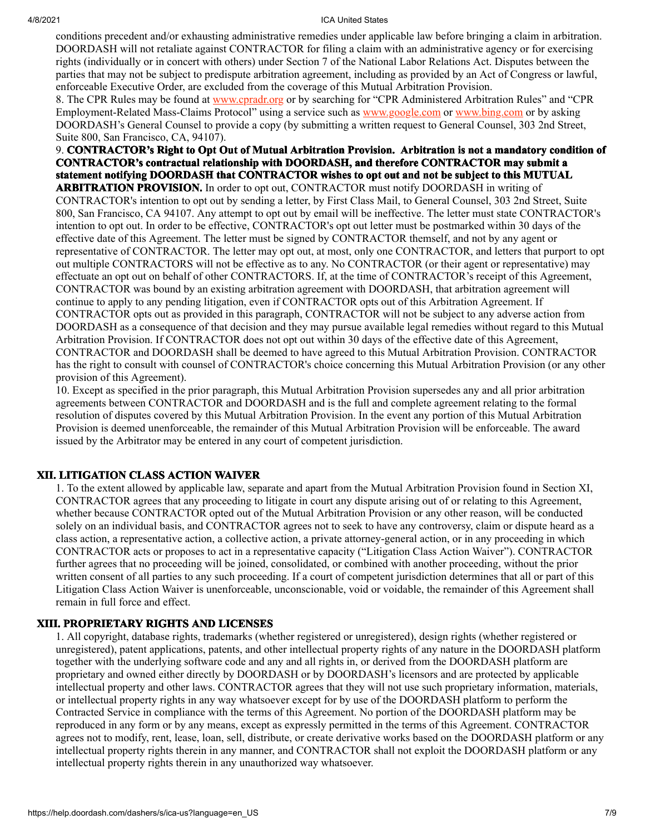conditions precedent and/or exhausting administrative remedies under applicable law before bringing a claim in arbitration. DOORDASH will not retaliate against CONTRACTOR for filing a claim with an administrative agency or for exercising rights (individually or in concert with others) under Section 7 of the National Labor Relations Act. Disputes between the parties that may not be subject to predispute arbitration agreement, including as provided by an Act of Congress or lawful, enforceable Executive Order, are excluded from the coverage of this Mutual Arbitration Provision.

8. The CPR Rules may be found at [www.cpradr.org](http://www.cpradr.org/) or by searching for "CPR Administered Arbitration Rules" and "CPR Employment-Related Mass-Claims Protocol" using a service such as [www.google.com](http://www.google.com/) or [www.bing.com](http://www.bing.com/) or by asking DOORDASH's General Counsel to provide a copy (by submitting a written request to General Counsel, 303 2nd Street, Suite 800, San Francisco, CA, 94107).

# 9. **CONTRACTOR's Right to Opt Out of Mutual Arbitration Provision. Arbitration is not a mandatory condition of CONTRACTOR's contractual relationship with DOORDASH, and therefore CONTRACTOR may submit a statement notifying DOORDASH that CONTRACTOR wishes to opt out and not be subject to this MUTUAL**

**ARBITRATION PROVISION.** In order to opt out, CONTRACTOR must notify DOORDASH in writing of CONTRACTOR's intention to opt out by sending a letter, by First Class Mail, to General Counsel, 303 2nd Street, Suite 800, San Francisco, CA 94107. Any attempt to opt out by email will be ineffective. The letter must state CONTRACTOR's intention to opt out. In order to be effective, CONTRACTOR's opt out letter must be postmarked within 30 days of the effective date of this Agreement. The letter must be signed by CONTRACTOR themself, and not by any agent or representative of CONTRACTOR. The letter may opt out, at most, only one CONTRACTOR, and letters that purport to opt out multiple CONTRACTORS will not be effective as to any. No CONTRACTOR (or their agent or representative) may effectuate an opt out on behalf of other CONTRACTORS. If, at the time of CONTRACTOR's receipt of this Agreement, CONTRACTOR was bound by an existing arbitration agreement with DOORDASH, that arbitration agreement will continue to apply to any pending litigation, even if CONTRACTOR opts out of this Arbitration Agreement. If CONTRACTOR opts out as provided in this paragraph, CONTRACTOR will not be subject to any adverse action from DOORDASH as a consequence of that decision and they may pursue available legal remedies without regard to this Mutual Arbitration Provision. If CONTRACTOR does not opt out within 30 days of the effective date of this Agreement, CONTRACTOR and DOORDASH shall be deemed to have agreed to this Mutual Arbitration Provision. CONTRACTOR has the right to consult with counsel of CONTRACTOR's choice concerning this Mutual Arbitration Provision (or any other provision of this Agreement).

10. Except as specified in the prior paragraph, this Mutual Arbitration Provision supersedes any and all prior arbitration agreements between CONTRACTOR and DOORDASH and is the full and complete agreement relating to the formal resolution of disputes covered by this Mutual Arbitration Provision. In the event any portion of this Mutual Arbitration Provision is deemed unenforceable, the remainder of this Mutual Arbitration Provision will be enforceable. The award issued by the Arbitrator may be entered in any court of competent jurisdiction.

#### **XII. LITIGATION CLASS ACTION WAIVER**

1. To the extent allowed by applicable law, separate and apart from the Mutual Arbitration Provision found in Section XI, CONTRACTOR agrees that any proceeding to litigate in court any dispute arising out of or relating to this Agreement, whether because CONTRACTOR opted out of the Mutual Arbitration Provision or any other reason, will be conducted solely on an individual basis, and CONTRACTOR agrees not to seek to have any controversy, claim or dispute heard as a class action, a representative action, a collective action, a private attorney-general action, or in any proceeding in which CONTRACTOR acts or proposes to act in a representative capacity ("Litigation Class Action Waiver"). CONTRACTOR further agrees that no proceeding will be joined, consolidated, or combined with another proceeding, without the prior written consent of all parties to any such proceeding. If a court of competent jurisdiction determines that all or part of this Litigation Class Action Waiver is unenforceable, unconscionable, void or voidable, the remainder of this Agreement shall remain in full force and effect.

#### **XIII. PROPRIETARY RIGHTS AND LICENSES**

1. All copyright, database rights, trademarks (whether registered or unregistered), design rights (whether registered or unregistered), patent applications, patents, and other intellectual property rights of any nature in the DOORDASH platform together with the underlying software code and any and all rights in, or derived from the DOORDASH platform are proprietary and owned either directly by DOORDASH or by DOORDASH's licensors and are protected by applicable intellectual property and other laws. CONTRACTOR agrees that they will not use such proprietary information, materials, or intellectual property rights in any way whatsoever except for by use of the DOORDASH platform to perform the Contracted Service in compliance with the terms of this Agreement. No portion of the DOORDASH platform may be reproduced in any form or by any means, except as expressly permitted in the terms of this Agreement. CONTRACTOR agrees not to modify, rent, lease, loan, sell, distribute, or create derivative works based on the DOORDASH platform or any intellectual property rights therein in any manner, and CONTRACTOR shall not exploit the DOORDASH platform or any intellectual property rights therein in any unauthorized way whatsoever.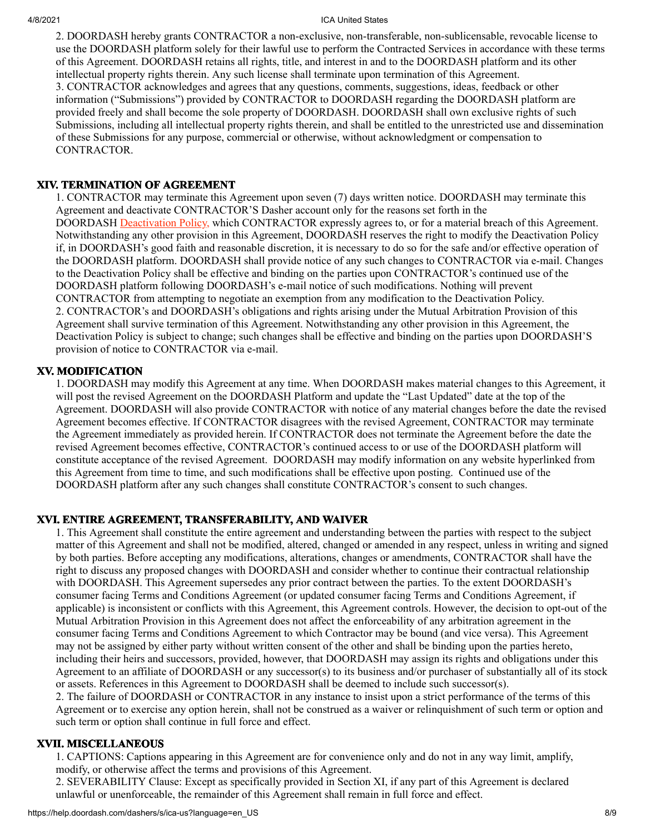2. DOORDASH hereby grants CONTRACTOR a non-exclusive, non-transferable, non-sublicensable, revocable license to use the DOORDASH platform solely for their lawful use to perform the Contracted Services in accordance with these terms of this Agreement. DOORDASH retains all rights, title, and interest in and to the DOORDASH platform and its other intellectual property rights therein. Any such license shall terminate upon termination of this Agreement. 3. CONTRACTOR acknowledges and agrees that any questions, comments, suggestions, ideas, feedback or other information ("Submissions") provided by CONTRACTOR to DOORDASH regarding the DOORDASH platform are provided freely and shall become the sole property of DOORDASH. DOORDASH shall own exclusive rights of such Submissions, including all intellectual property rights therein, and shall be entitled to the unrestricted use and dissemination of these Submissions for any purpose, commercial or otherwise, without acknowledgment or compensation to CONTRACTOR.

## **XIV. TERMINATION OF AGREEMENT**

1. CONTRACTOR may terminate this Agreement upon seven (7) days written notice. DOORDASH may terminate this Agreement and deactivate CONTRACTOR'S Dasher account only for the reasons set forth in the DOORDASH [Deactivation Policy,](https://help.doordash.com/dashers/s/deactivation-policy-us) which CONTRACTOR expressly agrees to, or for a material breach of this Agreement. Notwithstanding any other provision in this Agreement, DOORDASH reserves the right to modify the Deactivation Policy if, in DOORDASH's good faith and reasonable discretion, it is necessary to do so for the safe and/or effective operation of the DOORDASH platform. DOORDASH shall provide notice of any such changes to CONTRACTOR via e-mail. Changes to the Deactivation Policy shall be effective and binding on the parties upon CONTRACTOR's continued use of the DOORDASH platform following DOORDASH's e-mail notice of such modifications. Nothing will prevent CONTRACTOR from attempting to negotiate an exemption from any modification to the Deactivation Policy. 2. CONTRACTOR's and DOORDASH's obligations and rights arising under the Mutual Arbitration Provision of this Agreement shall survive termination of this Agreement. Notwithstanding any other provision in this Agreement, the Deactivation Policy is subject to change; such changes shall be effective and binding on the parties upon DOORDASH'S provision of notice to CONTRACTOR via e-mail.

## **XV. MODIFICATION**

1. DOORDASH may modify this Agreement at any time. When DOORDASH makes material changes to this Agreement, it will post the revised Agreement on the DOORDASH Platform and update the "Last Updated" date at the top of the Agreement. DOORDASH will also provide CONTRACTOR with notice of any material changes before the date the revised Agreement becomes effective. If CONTRACTOR disagrees with the revised Agreement, CONTRACTOR may terminate the Agreement immediately as provided herein. If CONTRACTOR does not terminate the Agreement before the date the revised Agreement becomes effective, CONTRACTOR's continued access to or use of the DOORDASH platform will constitute acceptance of the revised Agreement. DOORDASH may modify information on any website hyperlinked from this Agreement from time to time, and such modifications shall be effective upon posting. Continued use of the DOORDASH platform after any such changes shall constitute CONTRACTOR's consent to such changes.

## **XVI. ENTIRE AGREEMENT, TRANSFERABILITY, AND WAIVER**

1. This Agreement shall constitute the entire agreement and understanding between the parties with respect to the subject matter of this Agreement and shall not be modified, altered, changed or amended in any respect, unless in writing and signed by both parties. Before accepting any modifications, alterations, changes or amendments, CONTRACTOR shall have the right to discuss any proposed changes with DOORDASH and consider whether to continue their contractual relationship with DOORDASH. This Agreement supersedes any prior contract between the parties. To the extent DOORDASH's consumer facing Terms and Conditions Agreement (or updated consumer facing Terms and Conditions Agreement, if applicable) is inconsistent or conflicts with this Agreement, this Agreement controls. However, the decision to opt-out of the Mutual Arbitration Provision in this Agreement does not affect the enforceability of any arbitration agreement in the consumer facing Terms and Conditions Agreement to which Contractor may be bound (and vice versa). This Agreement may not be assigned by either party without written consent of the other and shall be binding upon the parties hereto, including their heirs and successors, provided, however, that DOORDASH may assign its rights and obligations under this Agreement to an affiliate of DOORDASH or any successor(s) to its business and/or purchaser of substantially all of its stock or assets. References in this Agreement to DOORDASH shall be deemed to include such successor(s).

2. The failure of DOORDASH or CONTRACTOR in any instance to insist upon a strict performance of the terms of this Agreement or to exercise any option herein, shall not be construed as a waiver or relinquishment of such term or option and such term or option shall continue in full force and effect.

## **XVII. MISCELLANEOUS**

1. CAPTIONS: Captions appearing in this Agreement are for convenience only and do not in any way limit, amplify, modify, or otherwise affect the terms and provisions of this Agreement.

2. SEVERABILITY Clause: Except as specifically provided in Section XI, if any part of this Agreement is declared unlawful or unenforceable, the remainder of this Agreement shall remain in full force and effect.